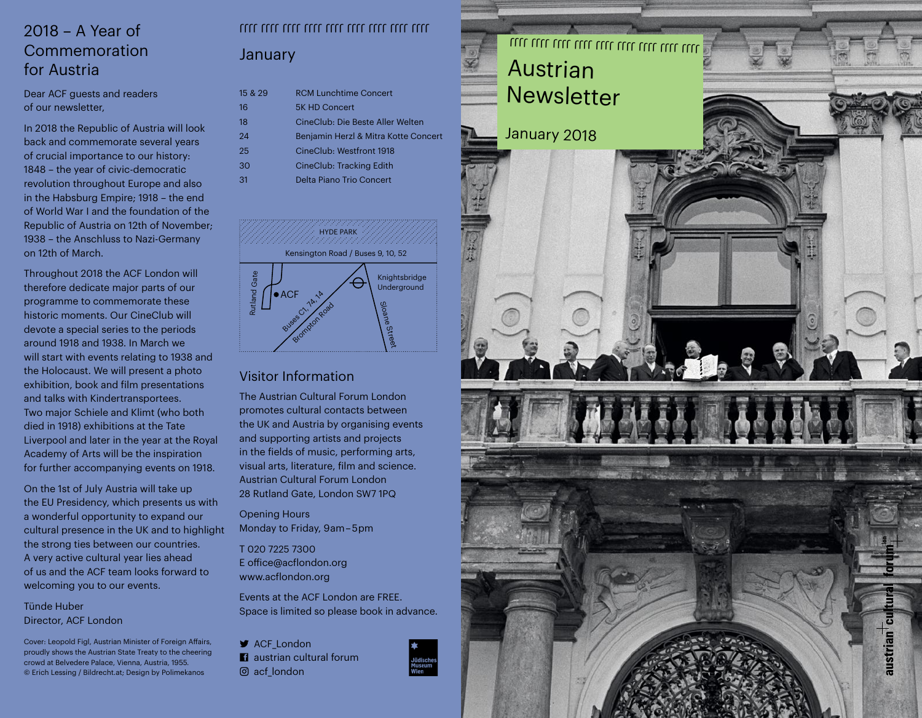# 2018 – A Year of Commemoration

Dear ACF guests and readers of our newsletter,

In 2018 the Republic of Austria will look back and commemorate several years of crucial importance to our history: 1848 – the year of civic-democratic revolution throughout Europe and also in the Habsburg Empire; 1918 – the end of World War I and the foundation of the Republic of Austria on 12th of November; 1938 – the Anschluss to Nazi-Germany on 12th of March.

Throughout 2018 the ACF London will therefore dedicate major parts of our programme to commemorate these historic moments. Our CineClub will devote a special series to the periods around 1918 and 1938. In March we will start with events relating to 1938 and the Holocaust. We will present a photo exhibition, book and film presentations and talks with Kindertransportees. Two major Schiele and Klimt (who both died in 1918) exhibitions at the Tate Liverpool and later in the year at the Royal Academy of Arts will be the inspiration for further accompanying events on 1918.

On the 1st of July Austria will take up the EU Presidency, which presents us with a wonderful opportunity to expand our cultural presence in the UK and to highlight the strong ties between our countries. A very active cultural year lies ahead of us and the ACF team looks forward to welcoming you to our events.

Tünde Huber Director, ACF London

Cover: Leopold Figl, Austrian Minister of Foreign Affairs, proudly shows the Austrian State Treaty to the cheering crowd at Belvedere Palace, Vienna, Austria, 1955. © Erich Lessing / Bildrecht.at; Design by Polimekanos

# JJJJ JJJJ JJJJ JJJJ JJJJ JJJJ JJJJ JJJJ JJJJ January

| 15 & 29 | <b>RCM Lunchtime Concert</b>         |
|---------|--------------------------------------|
| 16      | <b>5K HD Concert</b>                 |
| 18      | CineClub: Die Beste Aller Welten     |
| 24      | Benjamin Herzl & Mitra Kotte Concert |
| 25      | CineClub: Westfront 1918             |
| 30      | CineClub: Tracking Edith             |
| 31      | Delta Piano Trio Concert             |
|         |                                      |



#### Visitor Information

The Austrian Cultural Forum London promotes cultural contacts between the UK and Austria by organising events and supporting artists and projects in the fields of music, performing arts, visual arts, literature, film and science. Austrian Cultural Forum London 28 Rutland Gate, London SW7 1PQ

Opening Hours Monday to Friday, 9am – 5pm

T 020 7225 7300  E office@acflondon.org www.acflondon.org

Events at the ACF London are FREE. Space is limited so please book in advance.

ACF London **B** austrian cultural forum acf\_london